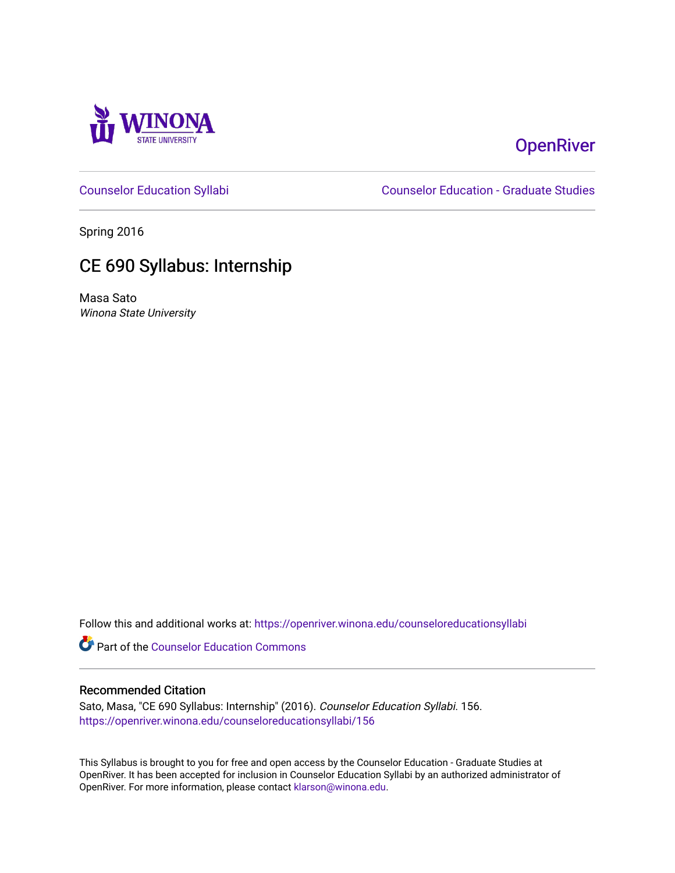

# **OpenRiver**

[Counselor Education Syllabi](https://openriver.winona.edu/counseloreducationsyllabi) [Counselor Education - Graduate Studies](https://openriver.winona.edu/counseloreducation) 

Spring 2016

# CE 690 Syllabus: Internship

Masa Sato Winona State University

Follow this and additional works at: [https://openriver.winona.edu/counseloreducationsyllabi](https://openriver.winona.edu/counseloreducationsyllabi?utm_source=openriver.winona.edu%2Fcounseloreducationsyllabi%2F156&utm_medium=PDF&utm_campaign=PDFCoverPages)

Part of the [Counselor Education Commons](http://network.bepress.com/hgg/discipline/1278?utm_source=openriver.winona.edu%2Fcounseloreducationsyllabi%2F156&utm_medium=PDF&utm_campaign=PDFCoverPages) 

## Recommended Citation

Sato, Masa, "CE 690 Syllabus: Internship" (2016). Counselor Education Syllabi. 156. [https://openriver.winona.edu/counseloreducationsyllabi/156](https://openriver.winona.edu/counseloreducationsyllabi/156?utm_source=openriver.winona.edu%2Fcounseloreducationsyllabi%2F156&utm_medium=PDF&utm_campaign=PDFCoverPages)

This Syllabus is brought to you for free and open access by the Counselor Education - Graduate Studies at OpenRiver. It has been accepted for inclusion in Counselor Education Syllabi by an authorized administrator of OpenRiver. For more information, please contact [klarson@winona.edu](mailto:klarson@winona.edu).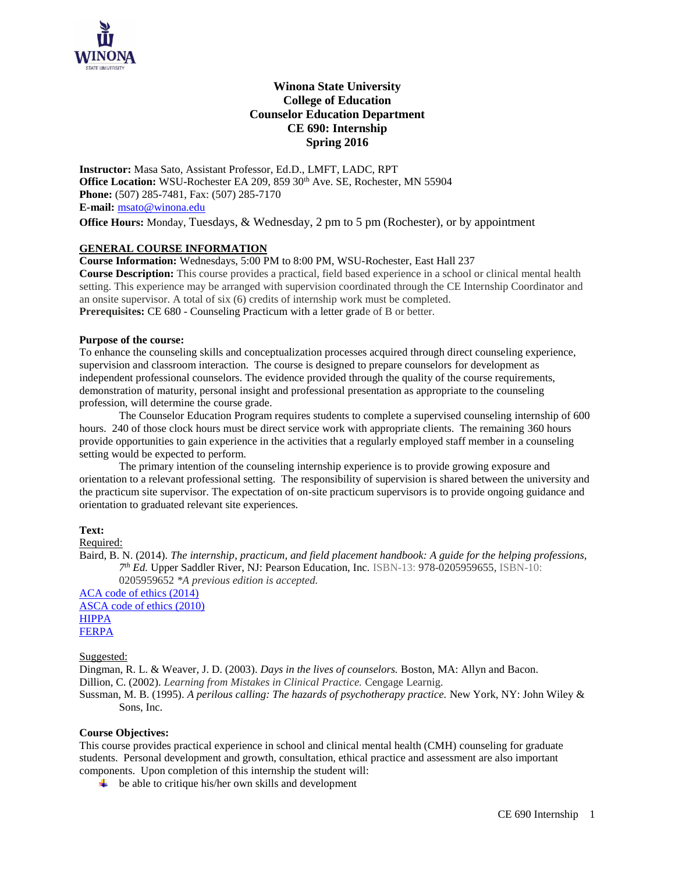

## **Winona State University College of Education Counselor Education Department CE 690: Internship Spring 2016**

**Instructor:** Masa Sato, Assistant Professor, Ed.D., LMFT, LADC, RPT Office Location: WSU-Rochester EA 209, 859 30<sup>th</sup> Ave. SE, Rochester, MN 55904 **Phone:** (507) 285-7481, Fax: (507) 285-7170 **E-mail:** [msato@winona.edu](mailto:msato@winona.edu)

**Office Hours:** Monday, Tuesdays, & Wednesday, 2 pm to 5 pm (Rochester), or by appointment

## **GENERAL COURSE INFORMATION**

**Course Information:** Wednesdays, 5:00 PM to 8:00 PM, WSU-Rochester, East Hall 237

**Course Description:** This course provides a practical, field based experience in a school or clinical mental health setting. This experience may be arranged with supervision coordinated through the CE Internship Coordinator and an onsite supervisor. A total of six (6) credits of internship work must be completed. **Prerequisites:** CE 680 - Counseling Practicum with a letter grade of B or better.

## **Purpose of the course:**

To enhance the counseling skills and conceptualization processes acquired through direct counseling experience, supervision and classroom interaction. The course is designed to prepare counselors for development as independent professional counselors. The evidence provided through the quality of the course requirements, demonstration of maturity, personal insight and professional presentation as appropriate to the counseling profession, will determine the course grade.

The Counselor Education Program requires students to complete a supervised counseling internship of 600 hours. 240 of those clock hours must be direct service work with appropriate clients. The remaining 360 hours provide opportunities to gain experience in the activities that a regularly employed staff member in a counseling setting would be expected to perform.

The primary intention of the counseling internship experience is to provide growing exposure and orientation to a relevant professional setting. The responsibility of supervision is shared between the university and the practicum site supervisor. The expectation of on-site practicum supervisors is to provide ongoing guidance and orientation to graduated relevant site experiences.

## **Text:**

Required:

Baird, B. N. (2014). *The internship, practicum, and field placement handbook: A guide for the helping professions, 7 th Ed.* Upper Saddler River, NJ: Pearson Education, Inc. ISBN-13: 978-0205959655, ISBN-10: 0205959652 *\*A previous edition is accepted.*

[ACA code of ethics \(2014\)](https://www.counseling.org/resources/aca-code-of-ethics.pdf) [ASCA code of ethics \(2010\)](https://www.schoolcounselor.org/asca/media/asca/Resource%20Center/Legal%20and%20Ethical%20Issues/Sample%20Documents/EthicalStandards2010.pdf) [HIPPA](http://www.hhs.gov/ocr/privacy/hipaa/understanding/summary/privacysummary.pdf) [FERPA](http://www2.ed.gov/policy/gen/guid/fpco/ferpa/index.html)

## Suggested:

Dingman, R. L. & Weaver, J. D. (2003). *Days in the lives of counselors.* Boston, MA: Allyn and Bacon. Dillion, C. (2002). *Learning from Mistakes in Clinical Practice.* Cengage Learnig.

Sussman, M. B. (1995). *A perilous calling: The hazards of psychotherapy practice.* New York, NY: John Wiley & Sons, Inc.

#### **Course Objectives:**

This course provides practical experience in school and clinical mental health (CMH) counseling for graduate students. Personal development and growth, consultation, ethical practice and assessment are also important components. Upon completion of this internship the student will:

 $\ddot{\bullet}$  be able to critique his/her own skills and development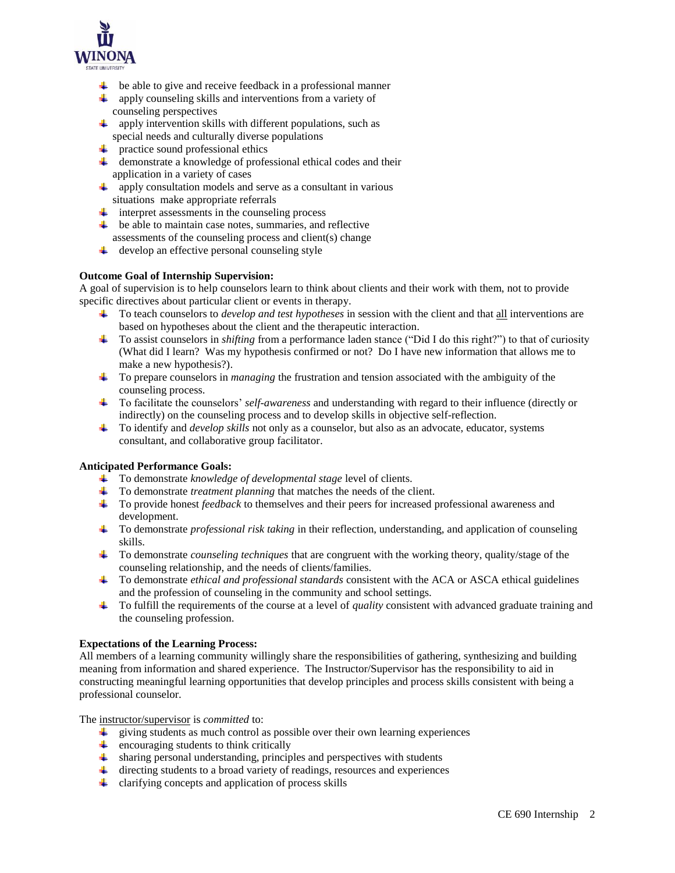

- $\ddot{\bullet}$  be able to give and receive feedback in a professional manner
- $\downarrow$  apply counseling skills and interventions from a variety of counseling perspectives
- apply intervention skills with different populations, such as special needs and culturally diverse populations
- $\downarrow$  practice sound professional ethics
- demonstrate a knowledge of professional ethical codes and their application in a variety of cases
- apply consultation models and serve as a consultant in various situations make appropriate referrals
- $\ddot{\text{I}}$  interpret assessments in the counseling process
- $\overline{\phantom{a}}$  be able to maintain case notes, summaries, and reflective assessments of the counseling process and client(s) change
- $\downarrow$  develop an effective personal counseling style

## **Outcome Goal of Internship Supervision:**

A goal of supervision is to help counselors learn to think about clients and their work with them, not to provide specific directives about particular client or events in therapy.

- To teach counselors to *develop and test hypotheses* in session with the client and that all interventions are based on hypotheses about the client and the therapeutic interaction.
- To assist counselors in *shifting* from a performance laden stance ("Did I do this right?") to that of curiosity (What did I learn? Was my hypothesis confirmed or not? Do I have new information that allows me to make a new hypothesis?).
- To prepare counselors in *managing* the frustration and tension associated with the ambiguity of the counseling process.
- To facilitate the counselors' *self-awareness* and understanding with regard to their influence (directly or indirectly) on the counseling process and to develop skills in objective self-reflection.
- To identify and *develop skills* not only as a counselor, but also as an advocate, educator, systems consultant, and collaborative group facilitator.

## **Anticipated Performance Goals:**

- To demonstrate *knowledge of developmental stage* level of clients.
- To demonstrate *treatment planning* that matches the needs of the client.
- To provide honest *feedback* to themselves and their peers for increased professional awareness and development.
- To demonstrate *professional risk taking* in their reflection, understanding, and application of counseling skills.
- To demonstrate *counseling techniques* that are congruent with the working theory, quality/stage of the counseling relationship, and the needs of clients/families.
- To demonstrate *ethical and professional standards* consistent with the ACA or ASCA ethical guidelines and the profession of counseling in the community and school settings.
- To fulfill the requirements of the course at a level of *quality* consistent with advanced graduate training and the counseling profession.

## **Expectations of the Learning Process:**

All members of a learning community willingly share the responsibilities of gathering, synthesizing and building meaning from information and shared experience. The Instructor/Supervisor has the responsibility to aid in constructing meaningful learning opportunities that develop principles and process skills consistent with being a professional counselor.

The instructor/supervisor is *committed* to:

- $\ddot{\phantom{1}}$  giving students as much control as possible over their own learning experiences
- $\ddot{+}$  encouraging students to think critically
- sharing personal understanding, principles and perspectives with students
- directing students to a broad variety of readings, resources and experiences
- $\downarrow$  clarifying concepts and application of process skills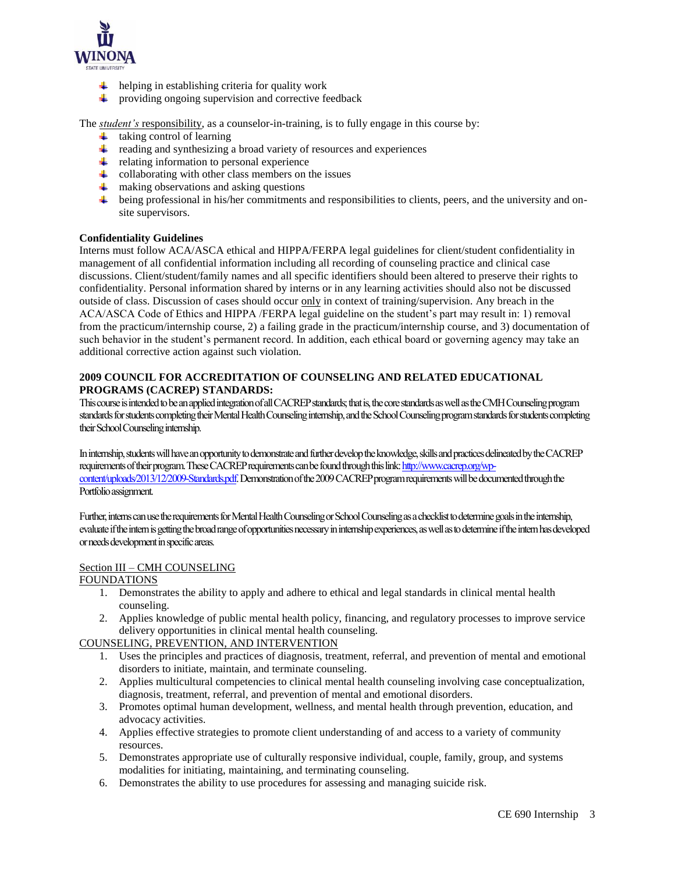

- $\ddot{\bullet}$  helping in establishing criteria for quality work
- ₩. providing ongoing supervision and corrective feedback

The *student's* responsibility, as a counselor-in-training, is to fully engage in this course by:

- $\ddot{\bullet}$  taking control of learning
- $\ddot{\phantom{1}}$  reading and synthesizing a broad variety of resources and experiences
- $\ddot{\bullet}$  relating information to personal experience
- $\downarrow$  collaborating with other class members on the issues
- $\frac{1}{\sqrt{1-\frac{1}{\sqrt{1-\frac{1}{\sqrt{1-\frac{1}{\sqrt{1-\frac{1}{\sqrt{1-\frac{1}{\sqrt{1-\frac{1}{\sqrt{1-\frac{1}{\sqrt{1-\frac{1}{\sqrt{1-\frac{1}{\sqrt{1-\frac{1}{\sqrt{1-\frac{1}{\sqrt{1-\frac{1}{\sqrt{1-\frac{1}{\sqrt{1-\frac{1}{\sqrt{1-\frac{1}{\sqrt{1-\frac{1}{\sqrt{1-\frac{1}{\sqrt{1-\frac{1}{\sqrt{1-\frac{1}{\sqrt{1-\frac{1}{\sqrt{1-\frac{1}{\sqrt{1-\frac{1}{\sqrt{1-\frac{1}{\sqrt{1-\frac{1$
- $\ddot{\bullet}$  being professional in his/her commitments and responsibilities to clients, peers, and the university and onsite supervisors.

#### **Confidentiality Guidelines**

Interns must follow ACA/ASCA ethical and HIPPA/FERPA legal guidelines for client/student confidentiality in management of all confidential information including all recording of counseling practice and clinical case discussions. Client/student/family names and all specific identifiers should been altered to preserve their rights to confidentiality. Personal information shared by interns or in any learning activities should also not be discussed outside of class. Discussion of cases should occur only in context of training/supervision. Any breach in the ACA/ASCA Code of Ethics and HIPPA /FERPA legal guideline on the student's part may result in: 1) removal from the practicum/internship course, 2) a failing grade in the practicum/internship course, and 3) documentation of such behavior in the student's permanent record. In addition, each ethical board or governing agency may take an additional corrective action against such violation.

## **2009 COUNCIL FOR ACCREDITATION OF COUNSELING AND RELATED EDUCATIONAL PROGRAMS (CACREP) STANDARDS:**

This course is intended to be an applied integration of all CACREP standards; that is, the core standards as well as the CMH Counseling program standards for students completing their Mental Health Counseling internship, and the School Counseling program standards for students completing their School Counseling internship.

In internship, students will have an opportunity to demonstrate and further develop the knowledge, skills and practices delineated by the CACREP requirements of their program. These CACREP requirements can be found through this lin[k: http://www.cacrep.org/wp](http://www.cacrep.org/wp-content/uploads/2013/12/2009-Standards.pdf)[content/uploads/2013/12/2009-Standards.pdf.](http://www.cacrep.org/wp-content/uploads/2013/12/2009-Standards.pdf) Demonstration of the 2009 CACREP program requirements will be documented through the Portfolio assignment.

Further, interns can use the requirements for Mental Health Counselingor School Counseling as a checklist to determine goals in the internship, evaluate if the intern is getting the broad range of opportunities necessary in internship experiences, as well as to determine if the intern has developed or needs development in specific areas.

## Section III – CMH COUNSELING

#### FOUNDATIONS

- 1. Demonstrates the ability to apply and adhere to ethical and legal standards in clinical mental health counseling.
- 2. Applies knowledge of public mental health policy, financing, and regulatory processes to improve service delivery opportunities in clinical mental health counseling.

## COUNSELING, PREVENTION, AND INTERVENTION

- 1. Uses the principles and practices of diagnosis, treatment, referral, and prevention of mental and emotional disorders to initiate, maintain, and terminate counseling.
- 2. Applies multicultural competencies to clinical mental health counseling involving case conceptualization, diagnosis, treatment, referral, and prevention of mental and emotional disorders.
- 3. Promotes optimal human development, wellness, and mental health through prevention, education, and advocacy activities.
- 4. Applies effective strategies to promote client understanding of and access to a variety of community resources.
- 5. Demonstrates appropriate use of culturally responsive individual, couple, family, group, and systems modalities for initiating, maintaining, and terminating counseling.
- 6. Demonstrates the ability to use procedures for assessing and managing suicide risk.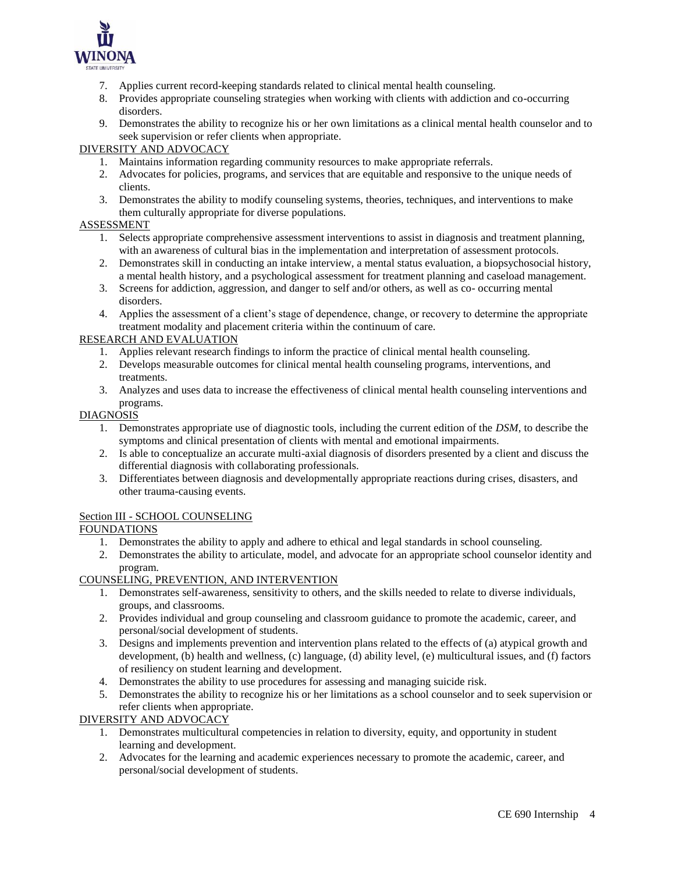

- 7. Applies current record-keeping standards related to clinical mental health counseling.
- 8. Provides appropriate counseling strategies when working with clients with addiction and co-occurring disorders.
- 9. Demonstrates the ability to recognize his or her own limitations as a clinical mental health counselor and to seek supervision or refer clients when appropriate.

## DIVERSITY AND ADVOCACY

- 1. Maintains information regarding community resources to make appropriate referrals.
- 2. Advocates for policies, programs, and services that are equitable and responsive to the unique needs of clients.
- 3. Demonstrates the ability to modify counseling systems, theories, techniques, and interventions to make them culturally appropriate for diverse populations.

## ASSESSMENT

- 1. Selects appropriate comprehensive assessment interventions to assist in diagnosis and treatment planning, with an awareness of cultural bias in the implementation and interpretation of assessment protocols.
- 2. Demonstrates skill in conducting an intake interview, a mental status evaluation, a biopsychosocial history, a mental health history, and a psychological assessment for treatment planning and caseload management.
- 3. Screens for addiction, aggression, and danger to self and/or others, as well as co- occurring mental disorders.
- 4. Applies the assessment of a client's stage of dependence, change, or recovery to determine the appropriate treatment modality and placement criteria within the continuum of care.

## RESEARCH AND EVALUATION

- 1. Applies relevant research findings to inform the practice of clinical mental health counseling.
- 2. Develops measurable outcomes for clinical mental health counseling programs, interventions, and treatments.
- 3. Analyzes and uses data to increase the effectiveness of clinical mental health counseling interventions and programs.

## DIAGNOSIS

- 1. Demonstrates appropriate use of diagnostic tools, including the current edition of the *DSM*, to describe the symptoms and clinical presentation of clients with mental and emotional impairments.
- 2. Is able to conceptualize an accurate multi-axial diagnosis of disorders presented by a client and discuss the differential diagnosis with collaborating professionals.
- 3. Differentiates between diagnosis and developmentally appropriate reactions during crises, disasters, and other trauma-causing events.

## Section III - SCHOOL COUNSELING

## FOUNDATIONS

- 1. Demonstrates the ability to apply and adhere to ethical and legal standards in school counseling.
- 2. Demonstrates the ability to articulate, model, and advocate for an appropriate school counselor identity and program.

## COUNSELING, PREVENTION, AND INTERVENTION

- 1. Demonstrates self-awareness, sensitivity to others, and the skills needed to relate to diverse individuals, groups, and classrooms.
- 2. Provides individual and group counseling and classroom guidance to promote the academic, career, and personal/social development of students.
- 3. Designs and implements prevention and intervention plans related to the effects of (a) atypical growth and development, (b) health and wellness, (c) language, (d) ability level, (e) multicultural issues, and (f) factors of resiliency on student learning and development.
- 4. Demonstrates the ability to use procedures for assessing and managing suicide risk.
- 5. Demonstrates the ability to recognize his or her limitations as a school counselor and to seek supervision or refer clients when appropriate.

## DIVERSITY AND ADVOCACY

- 1. Demonstrates multicultural competencies in relation to diversity, equity, and opportunity in student learning and development.
- 2. Advocates for the learning and academic experiences necessary to promote the academic, career, and personal/social development of students.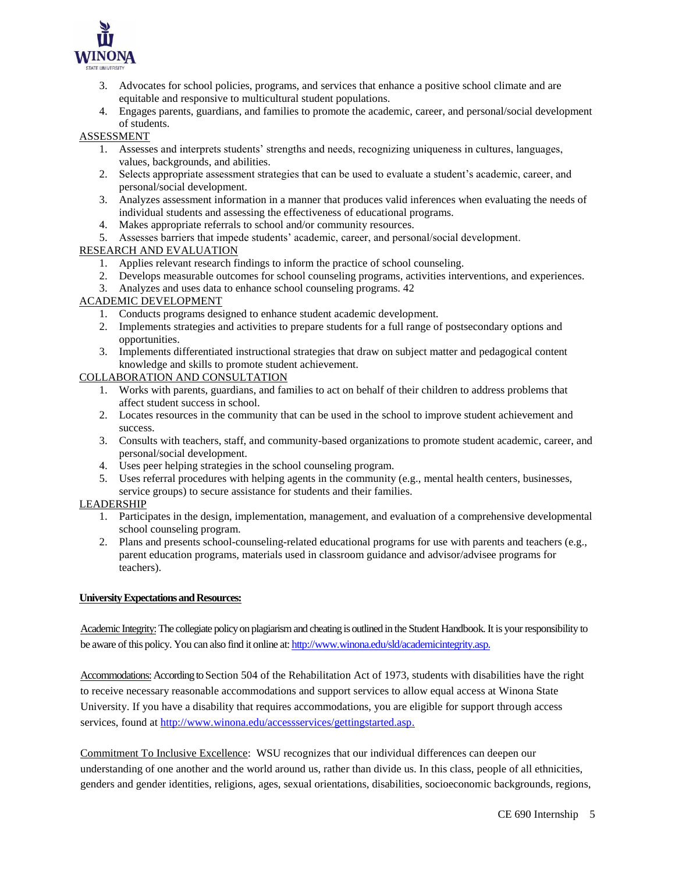

- 3. Advocates for school policies, programs, and services that enhance a positive school climate and are equitable and responsive to multicultural student populations.
- 4. Engages parents, guardians, and families to promote the academic, career, and personal/social development of students.

## ASSESSMENT

- 1. Assesses and interprets students' strengths and needs, recognizing uniqueness in cultures, languages, values, backgrounds, and abilities.
- 2. Selects appropriate assessment strategies that can be used to evaluate a student's academic, career, and personal/social development.
- 3. Analyzes assessment information in a manner that produces valid inferences when evaluating the needs of individual students and assessing the effectiveness of educational programs.
- 4. Makes appropriate referrals to school and/or community resources.
- 5. Assesses barriers that impede students' academic, career, and personal/social development.

## RESEARCH AND EVALUATION

- 1. Applies relevant research findings to inform the practice of school counseling.
- 2. Develops measurable outcomes for school counseling programs, activities interventions, and experiences.
- 3. Analyzes and uses data to enhance school counseling programs. 42

## ACADEMIC DEVELOPMENT

- 1. Conducts programs designed to enhance student academic development.
- 2. Implements strategies and activities to prepare students for a full range of postsecondary options and opportunities.
- 3. Implements differentiated instructional strategies that draw on subject matter and pedagogical content knowledge and skills to promote student achievement.

## COLLABORATION AND CONSULTATION

- 1. Works with parents, guardians, and families to act on behalf of their children to address problems that affect student success in school.
- 2. Locates resources in the community that can be used in the school to improve student achievement and success.
- 3. Consults with teachers, staff, and community-based organizations to promote student academic, career, and personal/social development.
- 4. Uses peer helping strategies in the school counseling program.
- 5. Uses referral procedures with helping agents in the community (e.g., mental health centers, businesses, service groups) to secure assistance for students and their families.

## LEADERSHIP

- 1. Participates in the design, implementation, management, and evaluation of a comprehensive developmental school counseling program.
- 2. Plans and presents school-counseling-related educational programs for use with parents and teachers (e.g., parent education programs, materials used in classroom guidance and advisor/advisee programs for teachers).

## **University Expectations and Resources:**

Academic Integrity: The collegiate policy on plagiarism and cheating is outlined in the Student Handbook. It is your responsibility to be aware of this policy. You can also find it online at[: http://www.winona.edu/sld/academicintegrity.asp.](http://www.winona.edu/sld/academicintegrity.asp)

Accommodations: According to Section 504 of the Rehabilitation Act of 1973, students with disabilities have the right to receive necessary reasonable accommodations and support services to allow equal access at Winona State University. If you have a disability that requires accommodations, you are eligible for support through access services, found a[t http://www.winona.edu/accessservices/gettingstarted.asp.](http://www.winona.edu/accessservices/gettingstarted.asp)

Commitment To Inclusive Excellence: WSU recognizes that our individual differences can deepen our understanding of one another and the world around us, rather than divide us. In this class, people of all ethnicities, genders and gender identities, religions, ages, sexual orientations, disabilities, socioeconomic backgrounds, regions,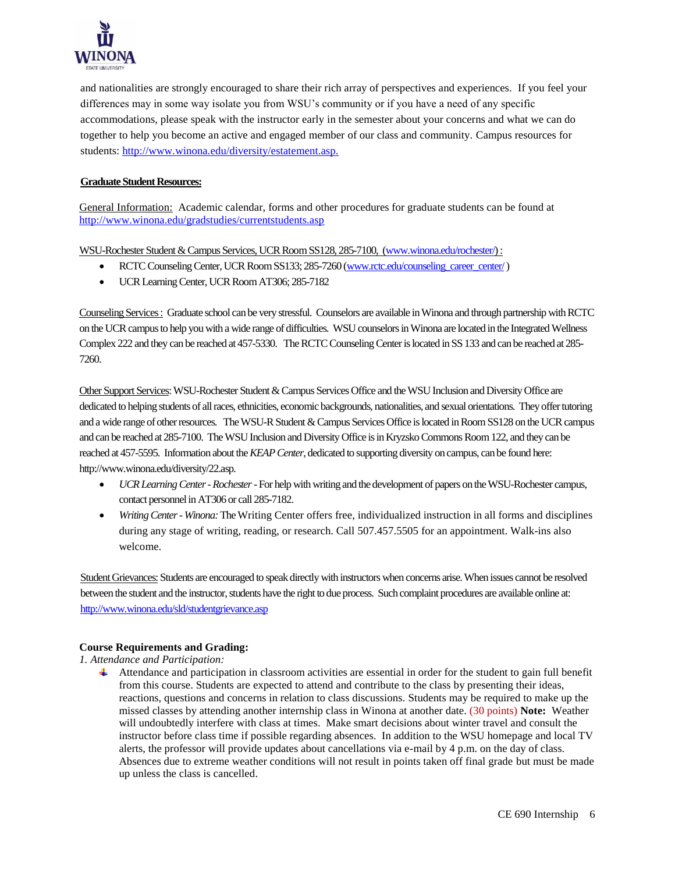

and nationalities are strongly encouraged to share their rich array of perspectives and experiences. If you feel your differences may in some way isolate you from WSU's community or if you have a need of any specific accommodations, please speak with the instructor early in the semester about your concerns and what we can do together to help you become an active and engaged member of our class and community. Campus resources for students: [http://www.winona.edu/diversity/estatement.asp.](http://www.winona.edu/diversity/estatement.asp)

## **Graduate Student Resources:**

General Information: Academic calendar, forms and other procedures for graduate students can be found at <http://www.winona.edu/gradstudies/currentstudents.asp>

WSU-Rochester Student & Campus Services, UCR Room SS128, 285-7100, [\(www.winona.edu/rochester/\)](http://www.winona.edu/rochester/) :

- RCTC Counseling Center, UCR Room SS133; 285-7260 [\(www.rctc.edu/counseling\\_career\\_center/\)](http://www.rctc.edu/counseling_career_center/)
- UCR Learning Center, UCR Room AT306; 285-7182

Counseling Services : Graduate school can be very stressful. Counselors are available in Winona and through partnership with RCTC on the UCR campus to help you with a wide range of difficulties. WSU counselors in Winona are located in the Integrated Wellness Complex 222 and they can be reached at 457-5330. The RCTC Counseling Center is located in SS 133 and can be reached at 285- 7260.

Other Support Services: WSU-Rochester Student & Campus Services Office and the WSU Inclusion and Diversity Office are dedicated to helping students of all races, ethnicities, economic backgrounds, nationalities, and sexual orientations. They offertutoring and a wide range of other resources. The WSU-R Student & Campus Services Office is located in Room SS128 on the UCR campus and can be reached at 285-7100. The WSU Inclusion and Diversity Office is in Kryzsko Commons Room 122, and they can be reached at 457-5595. Information about the *KEAP Center*, dedicated to supporting diversity on campus, can be found here: http://www.winona.edu/diversity/22.asp.

- *UCR Learning Center -Rochester*-For help with writing and the development of papers on the WSU-Rochester campus, contact personnel in AT306 or call 285-7182.
- *Writing Center- Winona:*The Writing Center offers free, individualized instruction in all forms and disciplines during any stage of writing, reading, or research. Call 507.457.5505 for an appointment. Walk-ins also welcome.

Student Grievances: Students are encouraged to speak directly with instructors when concerns arise. When issues cannot be resolved between the student and the instructor, students have the right to due process. Such complaint procedures are available online at: <http://www.winona.edu/sld/studentgrievance.asp>

## **Course Requirements and Grading:**

## *1. Attendance and Participation:*

Attendance and participation in classroom activities are essential in order for the student to gain full benefit from this course. Students are expected to attend and contribute to the class by presenting their ideas, reactions, questions and concerns in relation to class discussions. Students may be required to make up the missed classes by attending another internship class in Winona at another date. (30 points) **Note:** Weather will undoubtedly interfere with class at times. Make smart decisions about winter travel and consult the instructor before class time if possible regarding absences. In addition to the WSU homepage and local TV alerts, the professor will provide updates about cancellations via e-mail by 4 p.m. on the day of class. Absences due to extreme weather conditions will not result in points taken off final grade but must be made up unless the class is cancelled.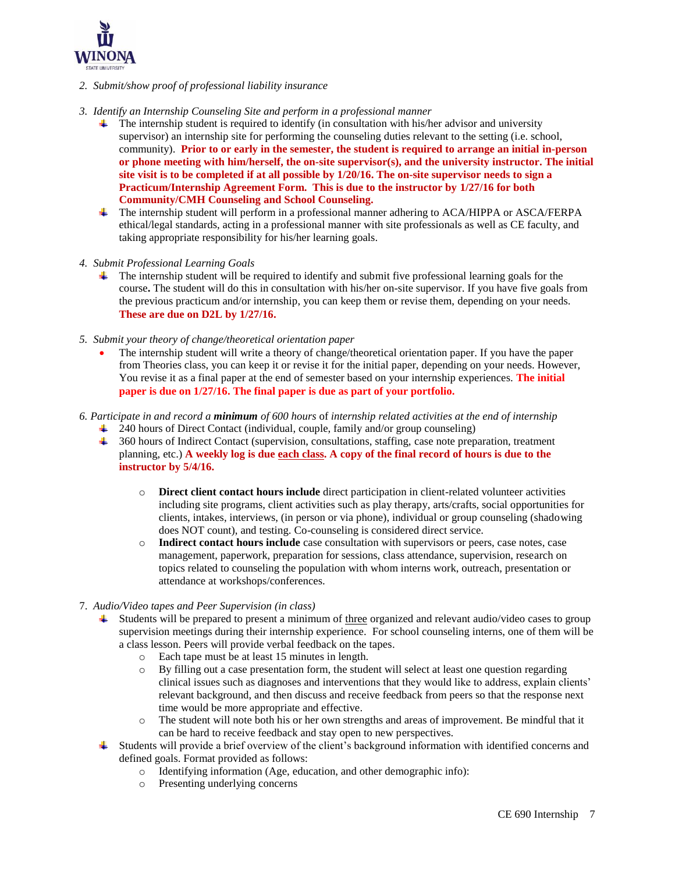

- *2. Submit/show proof of professional liability insurance*
- *3. Identify an Internship Counseling Site and perform in a professional manner* 
	- The internship student is required to identify (in consultation with his/her advisor and university supervisor) an internship site for performing the counseling duties relevant to the setting (i.e. school, community). **Prior to or early in the semester, the student is required to arrange an initial in-person or phone meeting with him/herself, the on-site supervisor(s), and the university instructor. The initial site visit is to be completed if at all possible by 1/20/16. The on-site supervisor needs to sign a Practicum/Internship Agreement Form. This is due to the instructor by 1/27/16 for both Community/CMH Counseling and School Counseling.**
	- The internship student will perform in a professional manner adhering to ACA/HIPPA or ASCA/FERPA ethical/legal standards, acting in a professional manner with site professionals as well as CE faculty, and taking appropriate responsibility for his/her learning goals.
- *4. Submit Professional Learning Goals*
	- $\ddot{\phantom{a}}$  The internship student will be required to identify and submit five professional learning goals for the course**.** The student will do this in consultation with his/her on-site supervisor. If you have five goals from the previous practicum and/or internship, you can keep them or revise them, depending on your needs. **These are due on D2L by 1/27/16.**
- *5. Submit your theory of change/theoretical orientation paper*
	- The internship student will write a theory of change/theoretical orientation paper. If you have the paper from Theories class, you can keep it or revise it for the initial paper, depending on your needs. However, You revise it as a final paper at the end of semester based on your internship experiences. **The initial paper is due on 1/27/16. The final paper is due as part of your portfolio.**
- *6. Participate in and record a minimum of 600 hours* of *internship related activities at the end of internship*
	- <sup>1</sup> 240 hours of Direct Contact (individual, couple, family and/or group counseling)
		- <sup>4</sup> 360 hours of Indirect Contact (supervision, consultations, staffing, case note preparation, treatment planning, etc.) **A weekly log is due each class. A copy of the final record of hours is due to the instructor by 5/4/16.**
			- o **Direct client contact hours include** direct participation in client-related volunteer activities including site programs, client activities such as play therapy, arts/crafts, social opportunities for clients, intakes, interviews, (in person or via phone), individual or group counseling (shadowing does NOT count), and testing. Co-counseling is considered direct service.
			- o **Indirect contact hours include** case consultation with supervisors or peers, case notes, case management, paperwork, preparation for sessions, class attendance, supervision, research on topics related to counseling the population with whom interns work, outreach, presentation or attendance at workshops/conferences.
- 7. *Audio/Video tapes and Peer Supervision (in class)*
	- Students will be prepared to present a minimum of three organized and relevant audio/video cases to group supervision meetings during their internship experience. For school counseling interns, one of them will be a class lesson. Peers will provide verbal feedback on the tapes.
		- o Each tape must be at least 15 minutes in length.
		- o By filling out a case presentation form, the student will select at least one question regarding clinical issues such as diagnoses and interventions that they would like to address, explain clients' relevant background, and then discuss and receive feedback from peers so that the response next time would be more appropriate and effective.
		- o The student will note both his or her own strengths and areas of improvement. Be mindful that it can be hard to receive feedback and stay open to new perspectives.
	- Students will provide a brief overview of the client's background information with identified concerns and defined goals. Format provided as follows:
		- o Identifying information (Age, education, and other demographic info):
		- o Presenting underlying concerns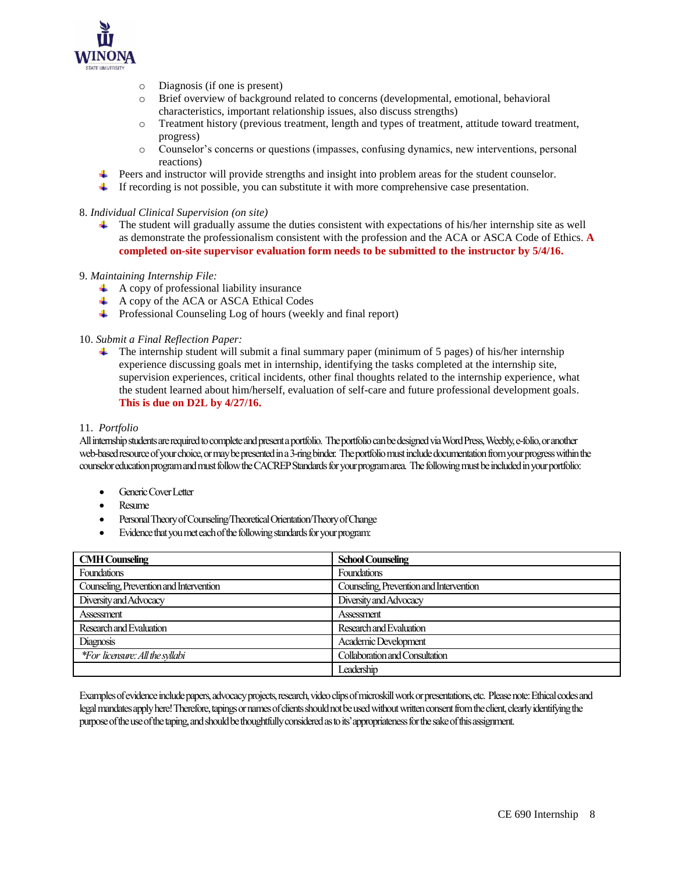

- o Diagnosis (if one is present)
- o Brief overview of background related to concerns (developmental, emotional, behavioral characteristics, important relationship issues, also discuss strengths)
- o Treatment history (previous treatment, length and types of treatment, attitude toward treatment, progress)
- o Counselor's concerns or questions (impasses, confusing dynamics, new interventions, personal reactions)
- Peers and instructor will provide strengths and insight into problem areas for the student counselor.
- If recording is not possible, you can substitute it with more comprehensive case presentation.

## 8. *Individual Clinical Supervision (on site)*

The student will gradually assume the duties consistent with expectations of his/her internship site as well as demonstrate the professionalism consistent with the profession and the ACA or ASCA Code of Ethics. **A completed on-site supervisor evaluation form needs to be submitted to the instructor by 5/4/16.** 

## 9. *Maintaining Internship File:*

- $\overline{+}$  A copy of professional liability insurance
- $\overline{\text{4}}$  A copy of the ACA or ASCA Ethical Codes
- Professional Counseling Log of hours (weekly and final report)

## 10. *Submit a Final Reflection Paper:*

**The internship student will submit a final summary paper (minimum of 5 pages) of his/her internship** experience discussing goals met in internship, identifying the tasks completed at the internship site, supervision experiences, critical incidents, other final thoughts related to the internship experience, what the student learned about him/herself, evaluation of self-care and future professional development goals. **This is due on D2L by 4/27/16.**

#### 11. *Portfolio*

All internship students are required to complete and present a portfolio. The portfolio can be designed via Word Press, Weebly, e-folio, or another web-based resource of your choice, or may be presented in a 3-ring binder. The portfolio must include documentation from your progress within the counselor education program and must follow the CACREP Standards for your program area. The following must be included in your portfolio:

- Generic Cover Letter
- Resume
- Personal Theory of Counseling/Theoretical Orientation/Theory of Change
- Evidence that you met each of the following standards for your program:

| <b>CMH</b> Counseling                   | <b>School Counseling</b>                |
|-----------------------------------------|-----------------------------------------|
| Foundations                             | <b>Foundations</b>                      |
| Counseling, Prevention and Intervention | Counseling, Prevention and Intervention |
| Diversity and Advocacy                  | Diversity and Advocacy                  |
| Assessment                              | <b>Assessment</b>                       |
| Research and Evaluation                 | Research and Evaluation                 |
| Diagnosis                               | Academic Development                    |
| *For licensure: All the syllabi         | Collaboration and Consultation          |
|                                         | Leadership                              |

Examples of evidence include papers, advocacy projects, research, video clips of microskill work or presentations, etc. Please note: Ethical codes and legal mandates apply here! Therefore, tapings or names of clients should not be used without written consent from the client, clearly identifying the purpose of the use of the taping, and should be thoughtfully considered as to its' appropriateness for the sake of this assignment.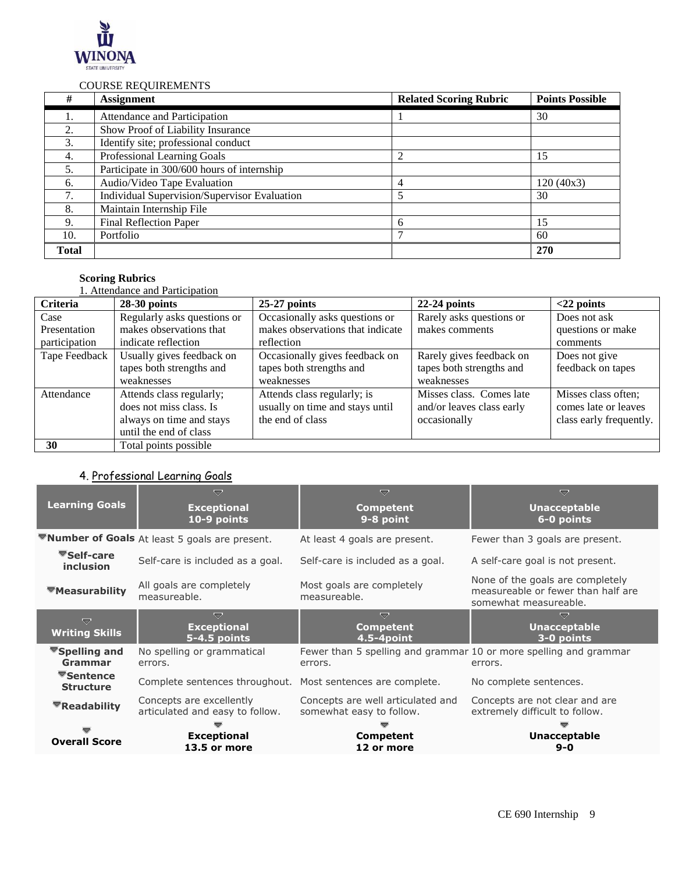

## COURSE REQUIREMENTS

| #            | <b>Assignment</b>                            | <b>Related Scoring Rubric</b> | <b>Points Possible</b> |
|--------------|----------------------------------------------|-------------------------------|------------------------|
|              | Attendance and Participation                 |                               | 30                     |
| 2.           | Show Proof of Liability Insurance            |                               |                        |
| 3.           | Identify site; professional conduct          |                               |                        |
| 4.           | Professional Learning Goals                  |                               | 15                     |
| 5.           | Participate in 300/600 hours of internship   |                               |                        |
| 6.           | Audio/Video Tape Evaluation                  | 4                             | 120(40x3)              |
| 7.           | Individual Supervision/Supervisor Evaluation | 5                             | 30                     |
| 8.           | Maintain Internship File                     |                               |                        |
| 9.           | <b>Final Reflection Paper</b>                | 6                             | 15                     |
| 10.          | Portfolio                                    |                               | 60                     |
| <b>Total</b> |                                              |                               | 270                    |

## **Scoring Rubrics**

|                                       | <b>1. Attendance and Participation</b>                                                                    |                                                                                    |                                                                       |                                                                        |
|---------------------------------------|-----------------------------------------------------------------------------------------------------------|------------------------------------------------------------------------------------|-----------------------------------------------------------------------|------------------------------------------------------------------------|
| <b>Criteria</b>                       | $28-30$ points                                                                                            | $25-27$ points                                                                     | $22-24$ points                                                        | $<$ 22 points                                                          |
| Case<br>Presentation<br>participation | Regularly asks questions or<br>makes observations that<br>indicate reflection                             | Occasionally asks questions or<br>makes observations that indicate<br>reflection   | Rarely asks questions or<br>makes comments                            | Does not ask<br>questions or make<br>comments                          |
| Tape Feedback                         | Usually gives feedback on<br>tapes both strengths and<br>weaknesses                                       | Occasionally gives feedback on<br>tapes both strengths and<br>weaknesses           | Rarely gives feedback on<br>tapes both strengths and<br>weaknesses    | Does not give<br>feedback on tapes                                     |
| Attendance                            | Attends class regularly;<br>does not miss class. Is<br>always on time and stays<br>until the end of class | Attends class regularly; is<br>usually on time and stays until<br>the end of class | Misses class. Comes late<br>and/or leaves class early<br>occasionally | Misses class often;<br>comes late or leaves<br>class early frequently. |
| 30                                    | Total points possible                                                                                     |                                                                                    |                                                                       |                                                                        |

# 4. Professional Learning Goals

| <b>Learning Goals</b>                             | ᇦ<br><b>Exceptional</b><br>10-9 points                      | v<br><b>Competent</b><br>9-8 point                                           | $\overline{\smile}$<br><b>Unacceptable</b><br>6-0 points                                        |
|---------------------------------------------------|-------------------------------------------------------------|------------------------------------------------------------------------------|-------------------------------------------------------------------------------------------------|
|                                                   | ▼Number of Goals At least 5 goals are present.              | At least 4 goals are present.                                                | Fewer than 3 goals are present.                                                                 |
| <b>▼Self-care</b><br><i>inclusion</i>             | Self-care is included as a goal.                            | Self-care is included as a goal.                                             | A self-care goal is not present.                                                                |
| ▼Measurability                                    | All goals are completely<br>measureable.                    | Most goals are completely<br>measureable.                                    | None of the goals are completely<br>measureable or fewer than half are<br>somewhat measureable. |
| ᇦ<br><b>Writing Skills</b>                        | ≂<br><b>Exceptional</b><br>5-4.5 points                     | ≂<br><b>Competent</b><br>$4.5 - 4$ point                                     | <b>Unacceptable</b><br>3-0 points                                                               |
| <b>▼Spelling and</b><br>Grammar                   | No spelling or grammatical<br>errors.                       | Fewer than 5 spelling and grammar 10 or more spelling and grammar<br>errors. | errors.                                                                                         |
| $\blacktriangledown$ Sentence<br><b>Structure</b> | Complete sentences throughout. Most sentences are complete. |                                                                              | No complete sentences.                                                                          |
| ▼Readability                                      | Concepts are excellently<br>articulated and easy to follow. | Concepts are well articulated and<br>somewhat easy to follow.                | Concepts are not clear and are<br>extremely difficult to follow.                                |
| <b>Overall Score</b>                              | <b>Exceptional</b><br>13.5 or more                          | Competent<br>12 or more                                                      | <b>Unacceptable</b><br>$9 - 0$                                                                  |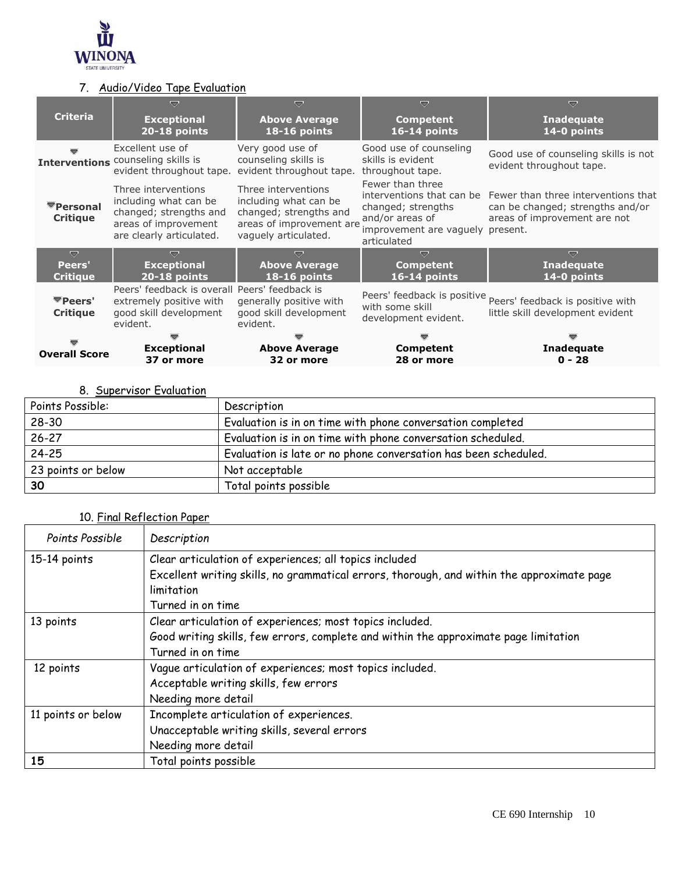

# 7. Audio/Video Tape Evaluation

|                                   | ▽                                                                                                                          | ≂                                                                                                                          | ᇦ                                                                                                            | ᇦ                                                                                                                                 |
|-----------------------------------|----------------------------------------------------------------------------------------------------------------------------|----------------------------------------------------------------------------------------------------------------------------|--------------------------------------------------------------------------------------------------------------|-----------------------------------------------------------------------------------------------------------------------------------|
| <b>Criteria</b>                   | <b>Exceptional</b><br>20-18 points                                                                                         | <b>Above Average</b><br>18-16 points                                                                                       | <b>Competent</b><br>16-14 points                                                                             | <b>Inadequate</b><br>14-0 points                                                                                                  |
|                                   | Excellent use of<br>Interventions counseling skills is<br>evident throughout tape.                                         | Very good use of<br>counseling skills is<br>evident throughout tape.                                                       | Good use of counseling<br>skills is evident<br>throughout tape.                                              | Good use of counseling skills is not<br>evident throughout tape.                                                                  |
| ▼Personal<br><b>Critique</b>      | Three interventions<br>including what can be<br>changed; strengths and<br>areas of improvement<br>are clearly articulated. | Three interventions<br>including what can be<br>changed; strengths and<br>areas of improvement are<br>vaguely articulated. | Fewer than three<br>changed; strengths<br>and/or areas of<br>improvement are vaguely present.<br>articulated | interventions that can be Fewer than three interventions that<br>can be changed; strengths and/or<br>areas of improvement are not |
| U                                 | ≂                                                                                                                          | ≂                                                                                                                          | $\overline{\nabla}$                                                                                          | v                                                                                                                                 |
| Peers'<br><b>Critique</b>         | <b>Exceptional</b><br>20-18 points                                                                                         | <b>Above Average</b><br><b>18-16 points</b>                                                                                | <b>Competent</b><br>16-14 points                                                                             | <b>Inadequate</b><br>14-0 points                                                                                                  |
| <b>▼Peers'</b><br><b>Critique</b> | Peers' feedback is overall Peers' feedback is<br>extremely positive with<br>good skill development<br>evident.             | generally positive with<br>good skill development<br>evident.                                                              | Peers' feedback is positive<br>with some skill<br>development evident.                                       | Peers' feedback is positive with<br>little skill development evident                                                              |
|                                   |                                                                                                                            |                                                                                                                            |                                                                                                              |                                                                                                                                   |
| <b>Overall Score</b>              | <b>Exceptional</b><br>37 or more                                                                                           | <b>Above Average</b><br>32 or more                                                                                         | <b>Competent</b><br>28 or more                                                                               | Inadequate<br>$0 - 28$                                                                                                            |

# 8. Supervisor Evaluation

| Points Possible:   | Description                                                     |
|--------------------|-----------------------------------------------------------------|
| $28 - 30$          | Evaluation is in on time with phone conversation completed      |
| $26 - 27$          | Evaluation is in on time with phone conversation scheduled.     |
| $24 - 25$          | Evaluation is late or no phone conversation has been scheduled. |
| 23 points or below | Not acceptable                                                  |
| 30                 | Total points possible                                           |

# 10. Final Reflection Paper

| Points Possible    | Description                                                                                |  |  |
|--------------------|--------------------------------------------------------------------------------------------|--|--|
| 15-14 points       | Clear articulation of experiences; all topics included                                     |  |  |
|                    | Excellent writing skills, no grammatical errors, thorough, and within the approximate page |  |  |
|                    | limitation                                                                                 |  |  |
|                    | Turned in on time                                                                          |  |  |
| 13 points          | Clear articulation of experiences; most topics included.                                   |  |  |
|                    | Good writing skills, few errors, complete and within the approximate page limitation       |  |  |
|                    | Turned in on time                                                                          |  |  |
| 12 points          | Vague articulation of experiences; most topics included.                                   |  |  |
|                    | Acceptable writing skills, few errors                                                      |  |  |
|                    | Needing more detail                                                                        |  |  |
| 11 points or below | Incomplete articulation of experiences.                                                    |  |  |
|                    | Unacceptable writing skills, several errors                                                |  |  |
|                    | Needing more detail                                                                        |  |  |
| 15                 | Total points possible                                                                      |  |  |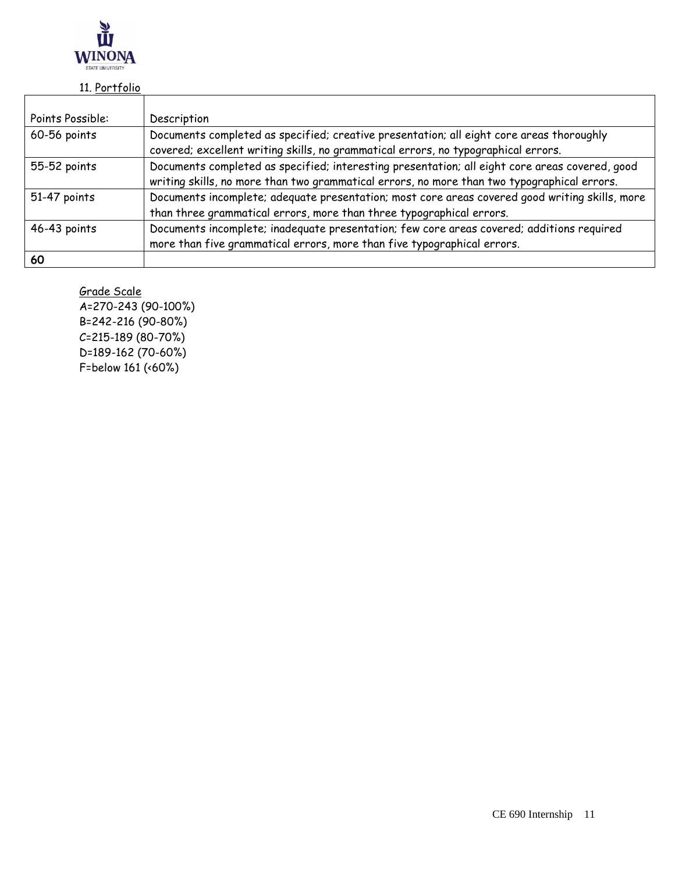

# 11. Portfolio

| Points Possible: | Description                                                                                    |  |
|------------------|------------------------------------------------------------------------------------------------|--|
|                  |                                                                                                |  |
| 60-56 points     | Documents completed as specified; creative presentation; all eight core areas thoroughly       |  |
|                  | covered; excellent writing skills, no grammatical errors, no typographical errors.             |  |
| 55-52 points     | Documents completed as specified; interesting presentation; all eight core areas covered, good |  |
|                  | writing skills, no more than two grammatical errors, no more than two typographical errors.    |  |
| 51-47 points     | Documents incomplete; adequate presentation; most core areas covered good writing skills, more |  |
|                  | than three grammatical errors, more than three typographical errors.                           |  |
| 46-43 points     | Documents incomplete; inadequate presentation; few core areas covered; additions required      |  |
|                  | more than five grammatical errors, more than five typographical errors.                        |  |
| 60               |                                                                                                |  |

Grade Scale

A=270-243 (90-100%) B=242-216 (90-80%) C=215-189 (80-70%) D=189-162 (70-60%) F=below 161 (<60%)